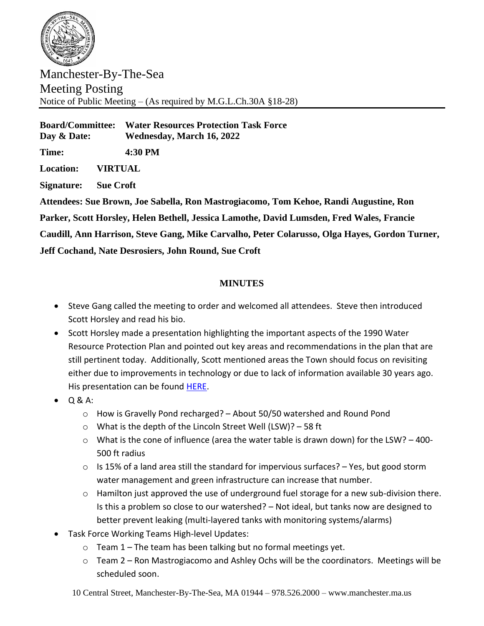

Manchester-By-The-Sea Meeting Posting Notice of Public Meeting – (As required by M.G.L.Ch.30A §18-28)

**Board/Committee: Water Resources Protection Task Force Day & Date: Wednesday, March 16, 2022**

**Time: 4:30 PM**

**Location: VIRTUAL**

**Signature: Sue Croft**

**Attendees: Sue Brown, Joe Sabella, Ron Mastrogiacomo, Tom Kehoe, Randi Augustine, Ron Parker, Scott Horsley, Helen Bethell, Jessica Lamothe, David Lumsden, Fred Wales, Francie Caudill, Ann Harrison, Steve Gang, Mike Carvalho, Peter Colarusso, Olga Hayes, Gordon Turner, Jeff Cochand, Nate Desrosiers, John Round, Sue Croft**

## **MINUTES**

- Steve Gang called the meeting to order and welcomed all attendees. Steve then introduced Scott Horsley and read his bio.
- Scott Horsley made a presentation highlighting the important aspects of the 1990 Water Resource Protection Plan and pointed out key areas and recommendations in the plan that are still pertinent today. Additionally, Scott mentioned areas the Town should focus on revisiting either due to improvements in technology or due to lack of information available 30 years ago. His presentation can be found [HERE.](http://www.manchester.ma.us/DocumentCenter/View/4786/Manchester-WR-Task-Force-031622)
- $\bullet$  Q & A:
	- $\circ$  How is Gravelly Pond recharged? About 50/50 watershed and Round Pond
	- o What is the depth of the Lincoln Street Well (LSW)? 58 ft
	- $\circ$  What is the cone of influence (area the water table is drawn down) for the LSW? -400-500 ft radius
	- $\circ$  Is 15% of a land area still the standard for impervious surfaces? Yes, but good storm water management and green infrastructure can increase that number.
	- o Hamilton just approved the use of underground fuel storage for a new sub-division there. Is this a problem so close to our watershed? – Not ideal, but tanks now are designed to better prevent leaking (multi-layered tanks with monitoring systems/alarms)
- Task Force Working Teams High-level Updates:
	- $\circ$  Team 1 The team has been talking but no formal meetings yet.
	- o Team 2 Ron Mastrogiacomo and Ashley Ochs will be the coordinators. Meetings will be scheduled soon.
	- 10 Central Street, Manchester-By-The-Sea, MA 01944 978.526.2000 www.manchester.ma.us